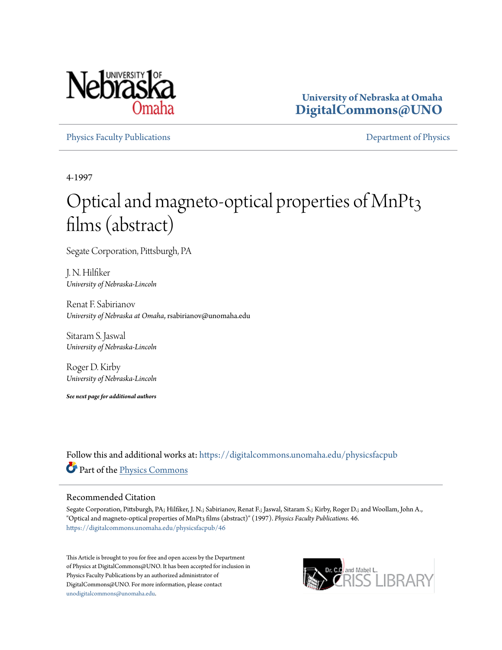

**University of Nebraska at Omaha [DigitalCommons@UNO](https://digitalcommons.unomaha.edu?utm_source=digitalcommons.unomaha.edu%2Fphysicsfacpub%2F46&utm_medium=PDF&utm_campaign=PDFCoverPages)**

[Physics Faculty Publications](https://digitalcommons.unomaha.edu/physicsfacpub?utm_source=digitalcommons.unomaha.edu%2Fphysicsfacpub%2F46&utm_medium=PDF&utm_campaign=PDFCoverPages) **[Department of Physics](https://digitalcommons.unomaha.edu/physics?utm_source=digitalcommons.unomaha.edu%2Fphysicsfacpub%2F46&utm_medium=PDF&utm_campaign=PDFCoverPages)** 

4-1997

# Optical and magneto-optical properties of MnPt3 films (abstract)

Segate Corporation, Pittsburgh, PA

J. N. Hilfiker *University of Nebraska-Lincoln*

Renat F. Sabirianov *University of Nebraska at Omaha*, rsabirianov@unomaha.edu

Sitaram S. Jaswal *University of Nebraska-Lincoln*

Roger D. Kirby *University of Nebraska-Lincoln*

*See next page for additional authors*

Follow this and additional works at: [https://digitalcommons.unomaha.edu/physicsfacpub](https://digitalcommons.unomaha.edu/physicsfacpub?utm_source=digitalcommons.unomaha.edu%2Fphysicsfacpub%2F46&utm_medium=PDF&utm_campaign=PDFCoverPages) Part of the [Physics Commons](http://network.bepress.com/hgg/discipline/193?utm_source=digitalcommons.unomaha.edu%2Fphysicsfacpub%2F46&utm_medium=PDF&utm_campaign=PDFCoverPages)

## Recommended Citation

Segate Corporation, Pittsburgh, PA; Hilfiker, J. N.; Sabirianov, Renat F.; Jaswal, Sitaram S.; Kirby, Roger D.; and Woollam, John A., "Optical and magneto-optical properties of MnPt3 films (abstract)" (1997). *Physics Faculty Publications*. 46. [https://digitalcommons.unomaha.edu/physicsfacpub/46](https://digitalcommons.unomaha.edu/physicsfacpub/46?utm_source=digitalcommons.unomaha.edu%2Fphysicsfacpub%2F46&utm_medium=PDF&utm_campaign=PDFCoverPages)

This Article is brought to you for free and open access by the Department of Physics at DigitalCommons@UNO. It has been accepted for inclusion in Physics Faculty Publications by an authorized administrator of DigitalCommons@UNO. For more information, please contact [unodigitalcommons@unomaha.edu](mailto:unodigitalcommons@unomaha.edu).

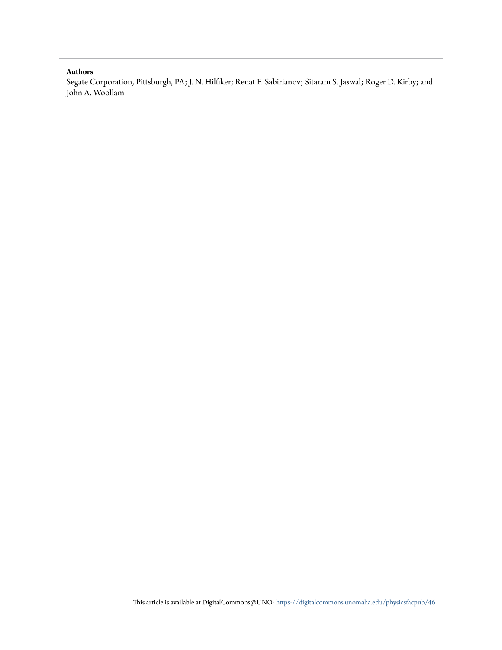#### **Authors**

Segate Corporation, Pittsburgh, PA; J. N. Hilfiker; Renat F. Sabirianov; Sitaram S. Jaswal; Roger D. Kirby; and John A. Woollam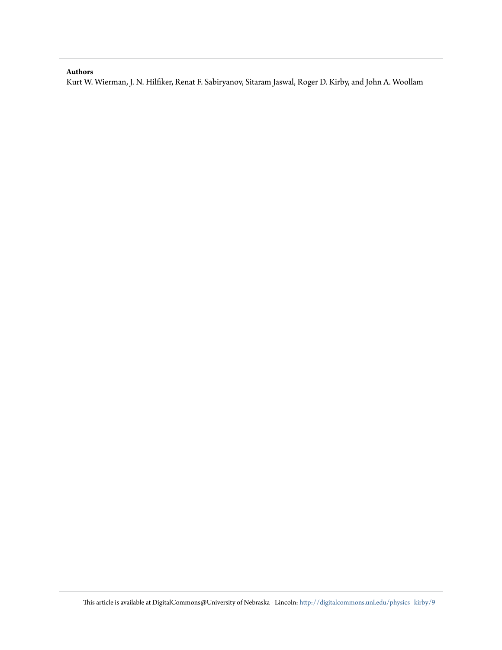## **Authors**

Kurt W. Wierman, J. N. Hilfiker, Renat F. Sabiryanov, Sitaram Jaswal, Roger D. Kirby, and John A. Woollam